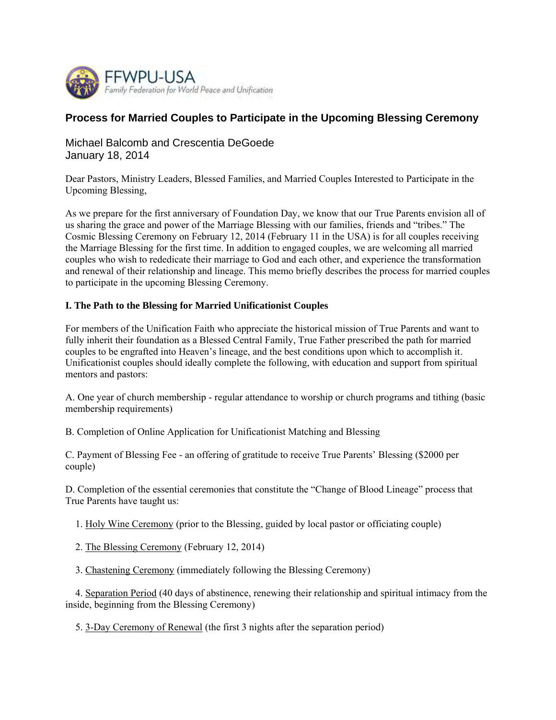

# **Process for Married Couples to Participate in the Upcoming Blessing Ceremony**

Michael Balcomb and Crescentia DeGoede January 18, 2014

Dear Pastors, Ministry Leaders, Blessed Families, and Married Couples Interested to Participate in the Upcoming Blessing,

As we prepare for the first anniversary of Foundation Day, we know that our True Parents envision all of us sharing the grace and power of the Marriage Blessing with our families, friends and "tribes." The Cosmic Blessing Ceremony on February 12, 2014 (February 11 in the USA) is for all couples receiving the Marriage Blessing for the first time. In addition to engaged couples, we are welcoming all married couples who wish to rededicate their marriage to God and each other, and experience the transformation and renewal of their relationship and lineage. This memo briefly describes the process for married couples to participate in the upcoming Blessing Ceremony.

## **I. The Path to the Blessing for Married Unificationist Couples**

For members of the Unification Faith who appreciate the historical mission of True Parents and want to fully inherit their foundation as a Blessed Central Family, True Father prescribed the path for married couples to be engrafted into Heaven's lineage, and the best conditions upon which to accomplish it. Unificationist couples should ideally complete the following, with education and support from spiritual mentors and pastors:

A. One year of church membership - regular attendance to worship or church programs and tithing (basic membership requirements)

B. Completion of Online Application for Unificationist Matching and Blessing

C. Payment of Blessing Fee - an offering of gratitude to receive True Parents' Blessing (\$2000 per couple)

D. Completion of the essential ceremonies that constitute the "Change of Blood Lineage" process that True Parents have taught us:

1. Holy Wine Ceremony (prior to the Blessing, guided by local pastor or officiating couple)

2. The Blessing Ceremony (February 12, 2014)

3. Chastening Ceremony (immediately following the Blessing Ceremony)

 4. Separation Period (40 days of abstinence, renewing their relationship and spiritual intimacy from the inside, beginning from the Blessing Ceremony)

5. 3-Day Ceremony of Renewal (the first 3 nights after the separation period)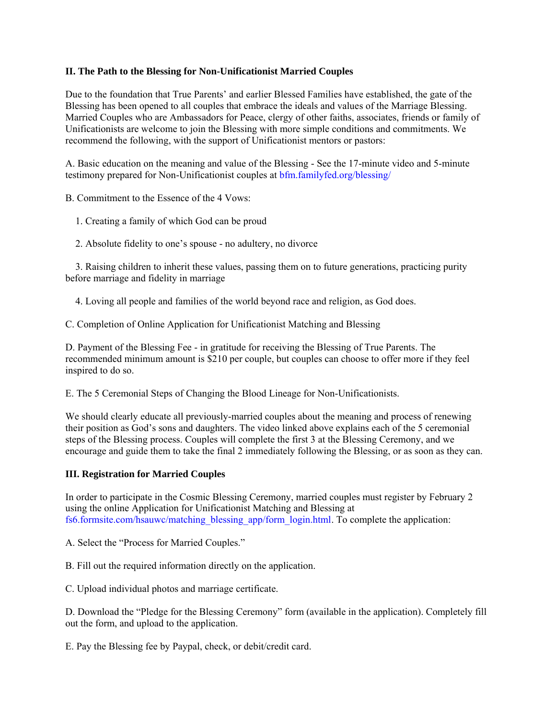#### **II. The Path to the Blessing for Non-Unificationist Married Couples**

Due to the foundation that True Parents' and earlier Blessed Families have established, the gate of the Blessing has been opened to all couples that embrace the ideals and values of the Marriage Blessing. Married Couples who are Ambassadors for Peace, clergy of other faiths, associates, friends or family of Unificationists are welcome to join the Blessing with more simple conditions and commitments. We recommend the following, with the support of Unificationist mentors or pastors:

A. Basic education on the meaning and value of the Blessing - See the 17-minute video and 5-minute testimony prepared for Non-Unificationist couples at bfm.familyfed.org/blessing/

B. Commitment to the Essence of the 4 Vows:

1. Creating a family of which God can be proud

2. Absolute fidelity to one's spouse - no adultery, no divorce

 3. Raising children to inherit these values, passing them on to future generations, practicing purity before marriage and fidelity in marriage

4. Loving all people and families of the world beyond race and religion, as God does.

C. Completion of Online Application for Unificationist Matching and Blessing

D. Payment of the Blessing Fee - in gratitude for receiving the Blessing of True Parents. The recommended minimum amount is \$210 per couple, but couples can choose to offer more if they feel inspired to do so.

E. The 5 Ceremonial Steps of Changing the Blood Lineage for Non-Unificationists.

We should clearly educate all previously-married couples about the meaning and process of renewing their position as God's sons and daughters. The video linked above explains each of the 5 ceremonial steps of the Blessing process. Couples will complete the first 3 at the Blessing Ceremony, and we encourage and guide them to take the final 2 immediately following the Blessing, or as soon as they can.

#### **III. Registration for Married Couples**

In order to participate in the Cosmic Blessing Ceremony, married couples must register by February 2 using the online Application for Unificationist Matching and Blessing at fs6.formsite.com/hsauwc/matching\_blessing\_app/form\_login.html. To complete the application:

A. Select the "Process for Married Couples."

B. Fill out the required information directly on the application.

C. Upload individual photos and marriage certificate.

D. Download the "Pledge for the Blessing Ceremony" form (available in the application). Completely fill out the form, and upload to the application.

E. Pay the Blessing fee by Paypal, check, or debit/credit card.